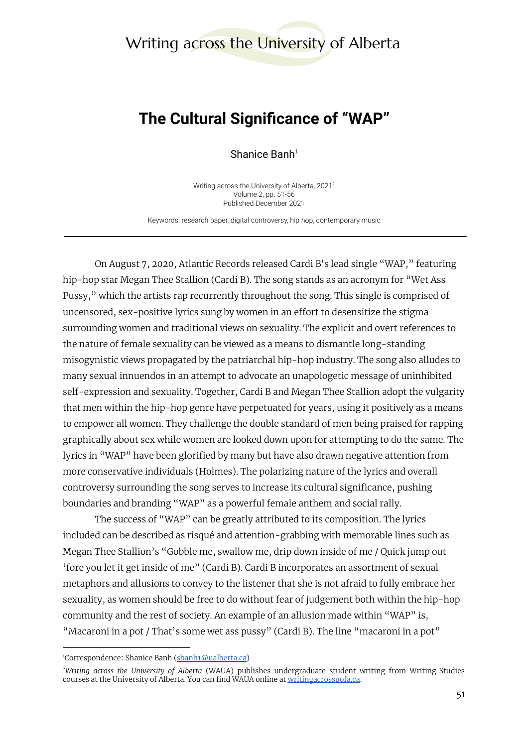## Writing across the University of Alberta

## **The Cultural Significance of "WAP"**

Shanice Banh $1$ 

Writing across the University of Alberta, 2021 2 Volume 2, pp. 51-56 Published December 2021

Keywords: research paper, digital controversy, hip hop, contemporary music

On August 7, 2020, Atlantic Records released Cardi B's lead single "WAP," featuring hip-hop star Megan Thee Stallion (Cardi B). The song stands as an acronym for "Wet Ass Pussy," which the artists rap recurrently throughout the song. This single is comprised of uncensored, sex-positive lyrics sung by women in an effort to desensitize the stigma surrounding women and traditional views on sexuality. The explicit and overt references to the nature of female sexuality can be viewed as a means to dismantle long-standing misogynistic views propagated by the patriarchal hip-hop industry. The song also alludes to many sexual innuendos in an attempt to advocate an unapologetic message of uninhibited self-expression and sexuality. Together, Cardi B and Megan Thee Stallion adopt the vulgarity that men within the hip-hop genre have perpetuated for years, using it positively as a means to empower all women. They challenge the double standard of men being praised for rapping graphically about sex while women are looked down upon for attempting to do the same. The lyrics in "WAP" have been glorified by many but have also drawn negative attention from more conservative individuals (Holmes). The polarizing nature of the lyrics and overall controversy surrounding the song serves to increase its cultural significance, pushing boundaries and branding "WAP" as a powerful female anthem and social rally.

The success of "WAP" can be greatly attributed to its composition. The lyrics included can be described as risqué and attention-grabbing with memorable lines such as Megan Thee Stallion's "Gobble me, swallow me, drip down inside of me / Quick jump out 'fore you let it get inside of me" (Cardi B). Cardi B incorporates an assortment of sexual metaphors and allusions to convey to the listener that she is not afraid to fully embrace her sexuality, as women should be free to do without fear of judgement both within the hip-hop community and the rest of society. An example of an allusion made within "WAP" is, "Macaroni in a pot / That's some wet ass pussy" (Cardi B). The line "macaroni in a pot"

<sup>&</sup>lt;sup>1</sup>Correspondence: Shanice Banh [\(sbanh1@ualberta.ca\)](mailto:sbanh1@ualberta.ca)

*<sup>2</sup>Writing across the University of Alberta* (WAUA) publishes undergraduate student writing from Writing Studies courses at the University of Alberta. You can find WAUA online at [writingacrossuofa.ca.](https://writingacrossuofa.ca/)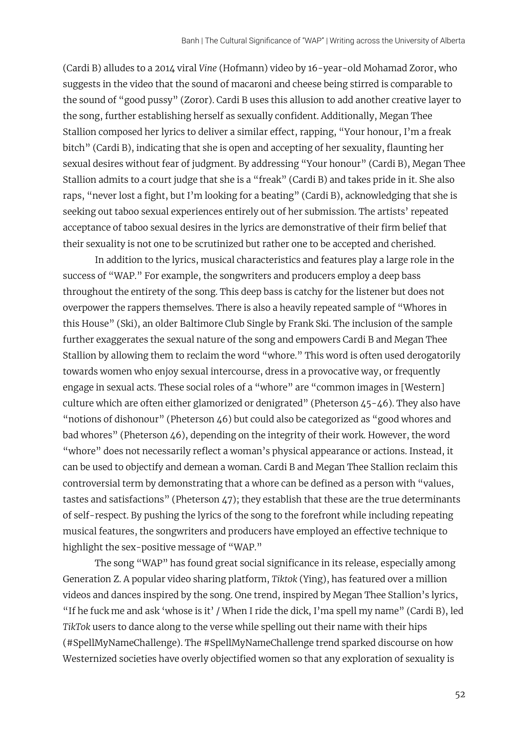(Cardi B) alludes to a 2014 viral *Vine* (Hofmann) video by 16-year-old Mohamad Zoror, who suggests in the video that the sound of macaroni and cheese being stirred is comparable to the sound of "good pussy" (Zoror). Cardi B uses this allusion to add another creative layer to the song, further establishing herself as sexually confident. Additionally, Megan Thee Stallion composed her lyrics to deliver a similar effect, rapping, "Your honour, I'm a freak bitch" (Cardi B), indicating that she is open and accepting of her sexuality, flaunting her sexual desires without fear of judgment. By addressing "Your honour" (Cardi B), Megan Thee Stallion admits to a court judge that she is a "freak" (Cardi B) and takes pride in it. She also raps, "never lost a fight, but I'm looking for a beating" (Cardi B), acknowledging that she is seeking out taboo sexual experiences entirely out of her submission. The artists' repeated acceptance of taboo sexual desires in the lyrics are demonstrative of their firm belief that their sexuality is not one to be scrutinized but rather one to be accepted and cherished.

In addition to the lyrics, musical characteristics and features play a large role in the success of "WAP." For example, the songwriters and producers employ a deep bass throughout the entirety of the song. This deep bass is catchy for the listener but does not overpower the rappers themselves. There is also a heavily repeated sample of "Whores in this House" (Ski), an older Baltimore Club Single by Frank Ski. The inclusion of the sample further exaggerates the sexual nature of the song and empowers Cardi B and Megan Thee Stallion by allowing them to reclaim the word "whore." This word is often used derogatorily towards women who enjoy sexual intercourse, dress in a provocative way, or frequently engage in sexual acts. These social roles of a "whore" are "common images in [Western] culture which are often either glamorized or denigrated" (Pheterson 45-46). They also have "notions of dishonour" (Pheterson 46) but could also be categorized as "good whores and bad whores" (Pheterson 46), depending on the integrity of their work. However, the word "whore" does not necessarily reflect a woman's physical appearance or actions. Instead, it can be used to objectify and demean a woman. Cardi B and Megan Thee Stallion reclaim this controversial term by demonstrating that a whore can be defined as a person with "values, tastes and satisfactions" (Pheterson 47); they establish that these are the true determinants of self-respect. By pushing the lyrics of the song to the forefront while including repeating musical features, the songwriters and producers have employed an effective technique to highlight the sex-positive message of "WAP."

The song "WAP" has found great social significance in its release, especially among Generation Z. A popular video sharing platform, *Tiktok* (Ying), has featured over a million videos and dances inspired by the song. One trend, inspired by Megan Thee Stallion's lyrics, "If he fuck me and ask 'whose is it' / When I ride the dick, I'ma spell my name" (Cardi B), led *TikTok* users to dance along to the verse while spelling out their name with their hips (#SpellMyNameChallenge). The #SpellMyNameChallenge trend sparked discourse on how Westernized societies have overly objectified women so that any exploration of sexuality is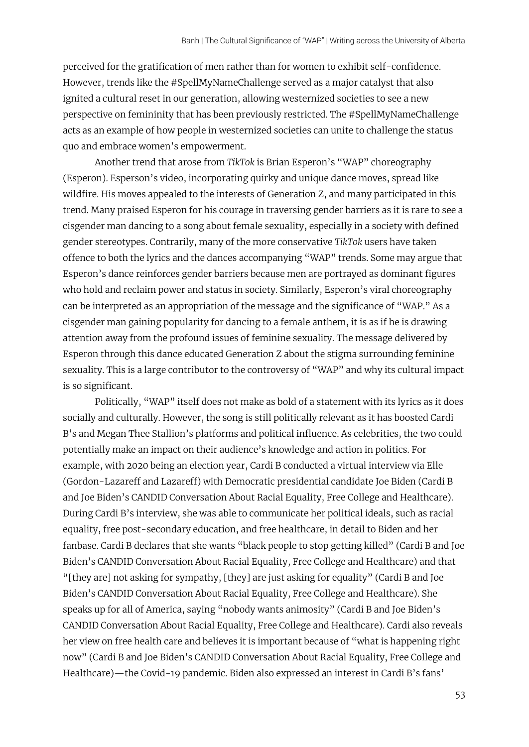perceived for the gratification of men rather than for women to exhibit self-confidence. However, trends like the #SpellMyNameChallenge served as a major catalyst that also ignited a cultural reset in our generation, allowing westernized societies to see a new perspective on femininity that has been previously restricted. The #SpellMyNameChallenge acts as an example of how people in westernized societies can unite to challenge the status quo and embrace women's empowerment.

Another trend that arose from *TikTok* is Brian Esperon's "WAP" choreography (Esperon). Esperson's video, incorporating quirky and unique dance moves, spread like wildfire. His moves appealed to the interests of Generation Z, and many participated in this trend. Many praised Esperon for his courage in traversing gender barriers as it is rare to see a cisgender man dancing to a song about female sexuality, especially in a society with defined gender stereotypes. Contrarily, many of the more conservative *TikTok* users have taken offence to both the lyrics and the dances accompanying "WAP" trends. Some may argue that Esperon's dance reinforces gender barriers because men are portrayed as dominant figures who hold and reclaim power and status in society. Similarly, Esperon's viral choreography can be interpreted as an appropriation of the message and the significance of "WAP." As a cisgender man gaining popularity for dancing to a female anthem, it is as if he is drawing attention away from the profound issues of feminine sexuality. The message delivered by Esperon through this dance educated Generation Z about the stigma surrounding feminine sexuality. This is a large contributor to the controversy of "WAP" and why its cultural impact is so significant.

Politically, "WAP" itself does not make as bold of a statement with its lyrics as it does socially and culturally. However, the song is still politically relevant as it has boosted Cardi B's and Megan Thee Stallion's platforms and political influence. As celebrities, the two could potentially make an impact on their audience's knowledge and action in politics. For example, with 2020 being an election year, Cardi B conducted a virtual interview via Elle (Gordon-Lazareff and Lazareff) with Democratic presidential candidate Joe Biden (Cardi B and Joe Biden's CANDID Conversation About Racial Equality, Free College and Healthcare). During Cardi B's interview, she was able to communicate her political ideals, such as racial equality, free post-secondary education, and free healthcare, in detail to Biden and her fanbase. Cardi B declares that she wants "black people to stop getting killed" (Cardi B and Joe Biden's CANDID Conversation About Racial Equality, Free College and Healthcare) and that "[they are] not asking for sympathy, [they] are just asking for equality" (Cardi B and Joe Biden's CANDID Conversation About Racial Equality, Free College and Healthcare). She speaks up for all of America, saying "nobody wants animosity" (Cardi B and Joe Biden's CANDID Conversation About Racial Equality, Free College and Healthcare). Cardi also reveals her view on free health care and believes it is important because of "what is happening right now" (Cardi B and Joe Biden's CANDID Conversation About Racial Equality, Free College and Healthcare)—the Covid-19 pandemic. Biden also expressed an interest in Cardi B's fans'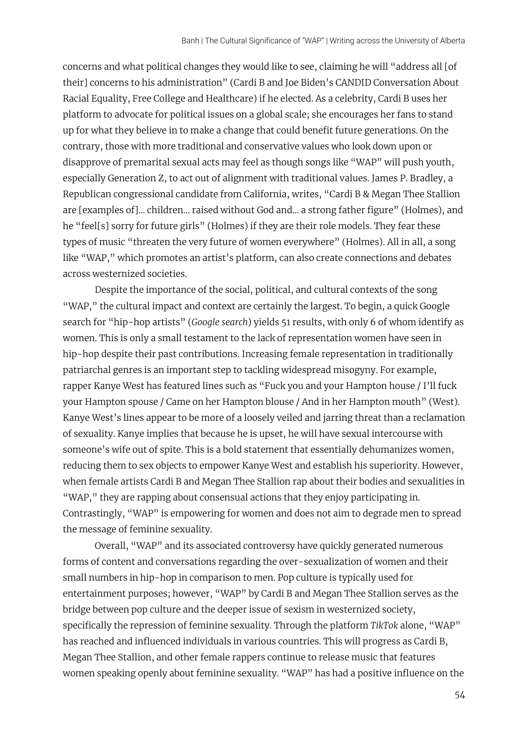concerns and what political changes they would like to see, claiming he will "address all [of their] concerns to his administration" (Cardi B and Joe Biden's CANDID Conversation About Racial Equality, Free College and Healthcare) if he elected. As a celebrity, Cardi B uses her platform to advocate for political issues on a global scale; she encourages her fans to stand up for what they believe in to make a change that could benefit future generations. On the contrary, those with more traditional and conservative values who look down upon or disapprove of premarital sexual acts may feel as though songs like "WAP" will push youth, especially Generation Z, to act out of alignment with traditional values. James P. Bradley, a Republican congressional candidate from California, writes, "Cardi B & Megan Thee Stallion are [examples of]... children... raised without God and... a strong father figure" (Holmes), and he "feel[s] sorry for future girls" (Holmes) if they are their role models. They fear these types of music "threaten the very future of women everywhere" (Holmes). All in all, a song like "WAP," which promotes an artist's platform, can also create connections and debates across westernized societies.

Despite the importance of the social, political, and cultural contexts of the song "WAP," the cultural impact and context are certainly the largest. To begin, a quick Google search for "hip-hop artists" (*Google search*) yields 51 results, with only 6 of whom identify as women. This is only a small testament to the lack of representation women have seen in hip-hop despite their past contributions. Increasing female representation in traditionally patriarchal genres is an important step to tackling widespread misogyny. For example, rapper Kanye West has featured lines such as "Fuck you and your Hampton house / I'll fuck your Hampton spouse / Came on her Hampton blouse / And in her Hampton mouth" (West). Kanye West's lines appear to be more of a loosely veiled and jarring threat than a reclamation of sexuality. Kanye implies that because he is upset, he will have sexual intercourse with someone's wife out of spite. This is a bold statement that essentially dehumanizes women, reducing them to sex objects to empower Kanye West and establish his superiority. However, when female artists Cardi B and Megan Thee Stallion rap about their bodies and sexualities in "WAP," they are rapping about consensual actions that they enjoy participating in. Contrastingly, "WAP" is empowering for women and does not aim to degrade men to spread the message of feminine sexuality.

Overall, "WAP" and its associated controversy have quickly generated numerous forms of content and conversations regarding the over-sexualization of women and their small numbers in hip-hop in comparison to men. Pop culture is typically used for entertainment purposes; however, "WAP" by Cardi B and Megan Thee Stallion serves as the bridge between pop culture and the deeper issue of sexism in westernized society, specifically the repression of feminine sexuality. Through the platform *TikTok* alone, "WAP" has reached and influenced individuals in various countries. This will progress as Cardi B, Megan Thee Stallion, and other female rappers continue to release music that features women speaking openly about feminine sexuality. "WAP" has had a positive influence on the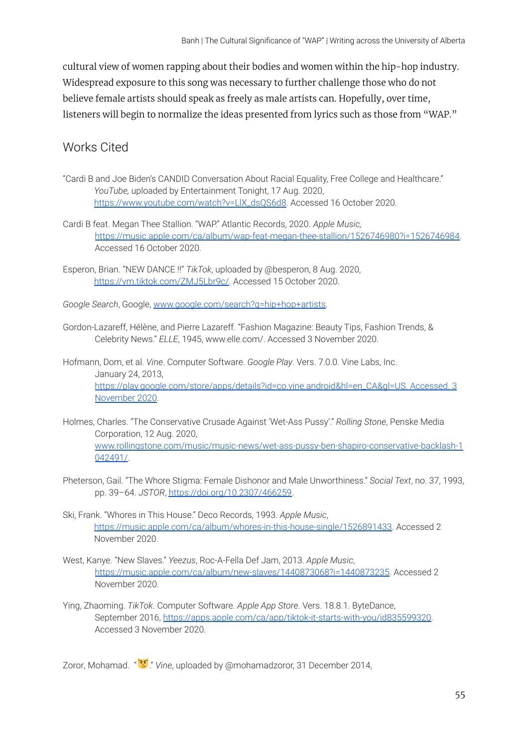cultural view of women rapping about their bodies and women within the hip-hop industry. Widespread exposure to this song was necessary to further challenge those who do not believe female artists should speak as freely as male artists can. Hopefully, over time, listeners will begin to normalize the ideas presented from lyrics such as those from "WAP."

## Works Cited

- "Cardi B and Joe Biden's CANDID Conversation About Racial Equality, Free College and Healthcare." *YouTube,* uploaded by Entertainment Tonight, 17 Aug. 2020, [https://www.youtube.com/watch?v=LlX\\_dsQS6d8.](https://www.youtube.com/watch?v=LlX_dsQS6d8) Accessed 16 October 2020.
- Cardi B feat. Megan Thee Stallion. "WAP." Atlantic Records, 2020. *Apple Music,* [https://music.apple.com/ca/album/wap-feat-megan-thee-stallion/1526746980?i=1526746984.](https://music.apple.com/ca/album/wap-feat-megan-thee-stallion/1526746980?i=1526746984) Accessed 16 October 2020.
- Esperon, Brian. "NEW DANCE !!" *TikTok*, uploaded by @besperon, 8 Aug. 2020, <https://vm.tiktok.com/ZMJ5Lbr9c/>. Accessed 15 October 2020.

*Google Search*, Google, [www.google.com/search?q=hip+hop+artists](http://www.google.com/search?q=hip+hop+artists).

- Gordon-Lazareff, Hélène, and Pierre Lazareff. "Fashion Magazine: Beauty Tips, Fashion Trends, & Celebrity News." *ELLE*, 1945, www.elle.com/. Accessed 3 November 2020.
- Hofmann, Dom, et al. *Vine*. Computer Software. *Google Play*. Vers. 7.0.0. Vine Labs, Inc. January 24, 2013, [https://play.google.com/store/apps/details?id=co.vine.android&hl=en\\_CA&gl=US.](https://play.google.com/store/apps/details?id=co.vine.android&hl=en_CA&gl=US.) Accessed. 3 [November](https://play.google.com/store/apps/details?id=co.vine.android&hl=en_CA&gl=US.) 2020.
- Holmes, Charles. "The Conservative Crusade Against 'Wet-Ass Pussy'." *Rolling Stone*, Penske Media Corporation, 12 Aug. 2020, [www.rollingstone.com/music/music-news/wet-ass-pussy-ben-shapiro-conservative-backlash-1](http://www.rollingstone.com/music/music-news/wet-ass-pussy-ben-shapiro-conservative-backlash-1042491/) [042491/](http://www.rollingstone.com/music/music-news/wet-ass-pussy-ben-shapiro-conservative-backlash-1042491/).
- Pheterson, Gail. "The Whore Stigma: Female Dishonor and Male Unworthiness." *Social Text*, no. 37, 1993, pp. 39–64. *JSTOR*, [https://doi.org/10.2307/466259.](https://doi.org/10.2307/466259)
- Ski, Frank. "Whores in This House." Deco Records, 1993. *Apple Music*, [https://music.apple.com/ca/album/whores-in-this-house-single/1526891433.](https://music.apple.com/ca/album/whores-in-this-house-single/1526891433) Accessed 2 November 2020.
- West, Kanye. "New Slaves." *Yeezus*, Roc-A-Fella Def Jam, 2013. *Apple Music*, [https://music.apple.com/ca/album/new-slaves/1440873068?i=1440873235.](https://music.apple.com/ca/album/new-slaves/1440873068?i=1440873235) Accessed 2 November 2020.
- Ying, Zhaoming. *TikTok*. Computer Software. *Apple App Store*. Vers. 18.8.1. ByteDance, September 2016, [https://apps.apple.com/ca/app/tiktok-it-starts-with-you/id835599320.](https://apps.apple.com/ca/app/tiktok-it-starts-with-you/id835599320) Accessed 3 November 2020.

[Zoror,](https://vine.co/u/938619739754872832) [Mohamad.](https://vine.co/u/938619739754872832) " ." *Vine*, uploaded by @mohamadzoror, 31 December 2014,